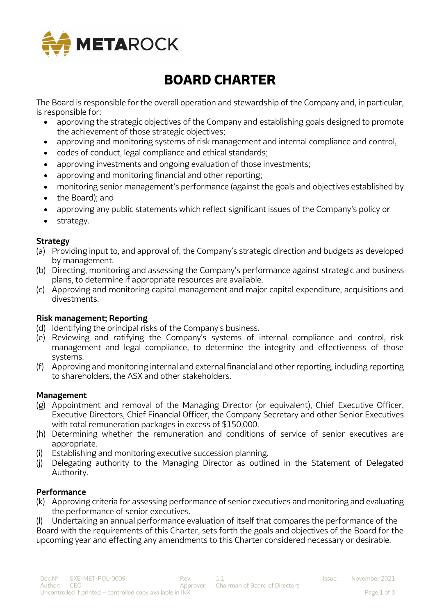

# **BOARD CHARTER**

The Board is responsible for the overall operation and stewardship of the Company and, in particular, is responsible for:

- approving the strategic objectives of the Company and establishing goals designed to promote the achievement of those strategic objectives;
- approving and monitoring systems of risk management and internal compliance and control,
- codes of conduct, legal compliance and ethical standards;
- approving investments and ongoing evaluation of those investments;
- approving and monitoring financial and other reporting;
- monitoring senior management's performance (against the goals and objectives established by
- the Board); and
- approving any public statements which reflect significant issues of the Company's policy or
- strategy.

## **Strategy**

- (a) Providing input to, and approval of, the Company's strategic direction and budgets as developed by management.
- (b) Directing, monitoring and assessing the Company's performance against strategic and business plans, to determine if appropriate resources are available.
- (c) Approving and monitoring capital management and major capital expenditure, acquisitions and divestments.

## **Risk management; Reporting**

- (d) Identifying the principal risks of the Company's business.
- (e) Reviewing and ratifying the Company's systems of internal compliance and control, risk management and legal compliance, to determine the integrity and effectiveness of those systems.
- (f) Approving and monitoring internal and external financial and other reporting, including reporting to shareholders, the ASX and other stakeholders.

## **Management**

- (g) Appointment and removal of the Managing Director (or equivalent), Chief Executive Officer, Executive Directors, Chief Financial Officer, the Company Secretary and other Senior Executives with total remuneration packages in excess of \$150,000.
- (h) Determining whether the remuneration and conditions of service of senior executives are appropriate.
- (i) Establishing and monitoring executive succession planning.
- (j) Delegating authority to the Managing Director as outlined in the Statement of Delegated Authority.

# **Performance**

(k) Approving criteria for assessing performance of senior executives and monitoring and evaluating the performance of senior executives.

(l) Undertaking an annual performance evaluation of itself that compares the performance of the Board with the requirements of this Charter, sets forth the goals and objectives of the Board for the upcoming year and effecting any amendments to this Charter considered necessary or desirable.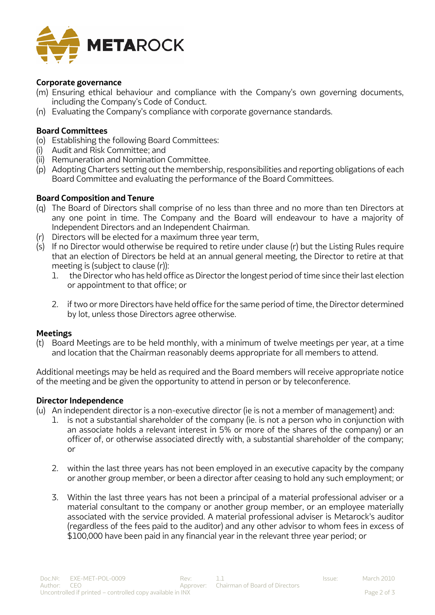

#### **Corporate governance**

- (m) Ensuring ethical behaviour and compliance with the Company's own governing documents, including the Company's Code of Conduct.
- (n) Evaluating the Company's compliance with corporate governance standards.

#### **Board Committees**

- (o) Establishing the following Board Committees:
- (i) Audit and Risk Committee; and
- (ii) Remuneration and Nomination Committee.
- (p) Adopting Charters setting out the membership, responsibilities and reporting obligations of each Board Committee and evaluating the performance of the Board Committees.

#### **Board Composition and Tenure**

- (q) The Board of Directors shall comprise of no less than three and no more than ten Directors at any one point in time. The Company and the Board will endeavour to have a majority of Independent Directors and an Independent Chairman.
- (r) Directors will be elected for a maximum three year term,
- $(s)$  If no Director would otherwise be required to retire under clause (r) but the Listing Rules require that an election of Directors be held at an annual general meeting, the Director to retire at that meeting is (subject to clause (r)):
	- 1. the Director who has held office as Director the longest period of time since their last election or appointment to that office; or
	- 2. if two or more Directors have held office for the same period of time, the Director determined by lot, unless those Directors agree otherwise.

#### **Meetings**

(t) Board Meetings are to be held monthly, with a minimum of twelve meetings per year, at a time and location that the Chairman reasonably deems appropriate for all members to attend.

Additional meetings may be held as required and the Board members will receive appropriate notice of the meeting and be given the opportunity to attend in person or by teleconference.

#### **Director Independence**

- (u) An independent director is a non-executive director (ie is not a member of management) and:
	- 1. is not a substantial shareholder of the company (ie. is not a person who in conjunction with an associate holds a relevant interest in 5% or more of the shares of the company) or an officer of, or otherwise associated directly with, a substantial shareholder of the company; or
	- 2. within the last three years has not been employed in an executive capacity by the company or another group member, or been a director after ceasing to hold any such employment; or
	- 3. Within the last three years has not been a principal of a material professional adviser or a material consultant to the company or another group member, or an employee materially associated with the service provided. A material professional adviser is Metarock's auditor (regardless of the fees paid to the auditor) and any other advisor to whom fees in excess of \$100,000 have been paid in any financial year in the relevant three year period; or